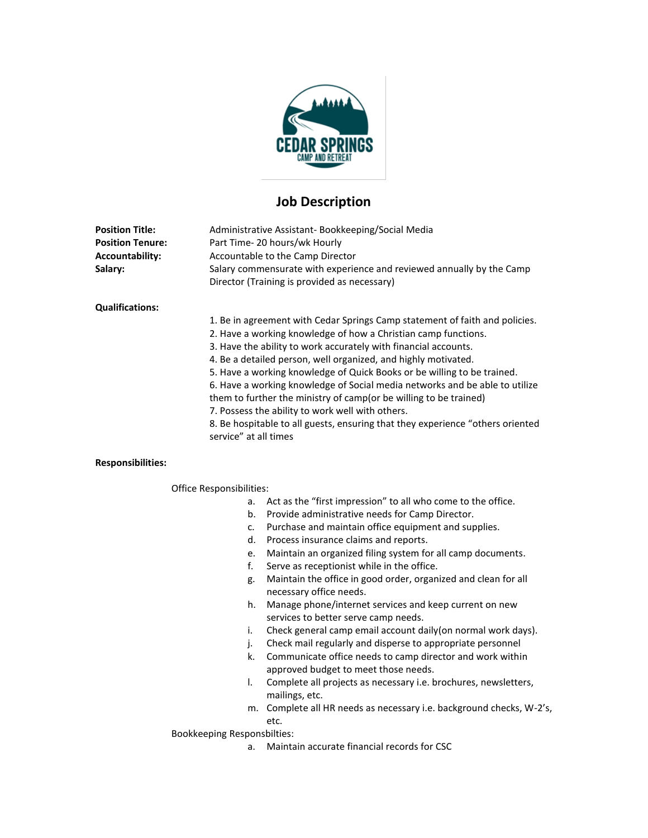

# **Job Description**

| <b>Position Title:</b><br><b>Position Tenure:</b><br>Accountability:<br>Salary: | Administrative Assistant-Bookkeeping/Social Media<br>Part Time-20 hours/wk Hourly<br>Accountable to the Camp Director<br>Salary commensurate with experience and reviewed annually by the Camp<br>Director (Training is provided as necessary)                                                                                                                                                                                                                                                                                                                                                                                                                                     |
|---------------------------------------------------------------------------------|------------------------------------------------------------------------------------------------------------------------------------------------------------------------------------------------------------------------------------------------------------------------------------------------------------------------------------------------------------------------------------------------------------------------------------------------------------------------------------------------------------------------------------------------------------------------------------------------------------------------------------------------------------------------------------|
| <b>Qualifications:</b>                                                          |                                                                                                                                                                                                                                                                                                                                                                                                                                                                                                                                                                                                                                                                                    |
|                                                                                 | 1. Be in agreement with Cedar Springs Camp statement of faith and policies.<br>2. Have a working knowledge of how a Christian camp functions.<br>3. Have the ability to work accurately with financial accounts.<br>4. Be a detailed person, well organized, and highly motivated.<br>5. Have a working knowledge of Quick Books or be willing to be trained.<br>6. Have a working knowledge of Social media networks and be able to utilize<br>them to further the ministry of camp (or be willing to be trained)<br>7. Possess the ability to work well with others.<br>8. Be hospitable to all guests, ensuring that they experience "others oriented"<br>service" at all times |
| <b>Responsibilities:</b>                                                        |                                                                                                                                                                                                                                                                                                                                                                                                                                                                                                                                                                                                                                                                                    |

### Office Responsibilities:

- a. Act as the "first impression" to all who come to the office.
- b. Provide administrative needs for Camp Director.
- c. Purchase and maintain office equipment and supplies.
- d. Process insurance claims and reports.
- e. Maintain an organized filing system for all camp documents.
- f. Serve as receptionist while in the office.
- g. Maintain the office in good order, organized and clean for all necessary office needs.
- h. Manage phone/internet services and keep current on new services to better serve camp needs.
- i. Check general camp email account daily(on normal work days).
- j. Check mail regularly and disperse to appropriate personnel
- k. Communicate office needs to camp director and work within approved budget to meet those needs.
- l. Complete all projects as necessary i.e. brochures, newsletters, mailings, etc.
- m. Complete all HR needs as necessary i.e. background checks, W-2's, etc.

Bookkeeping Responsbilties:

a. Maintain accurate financial records for CSC